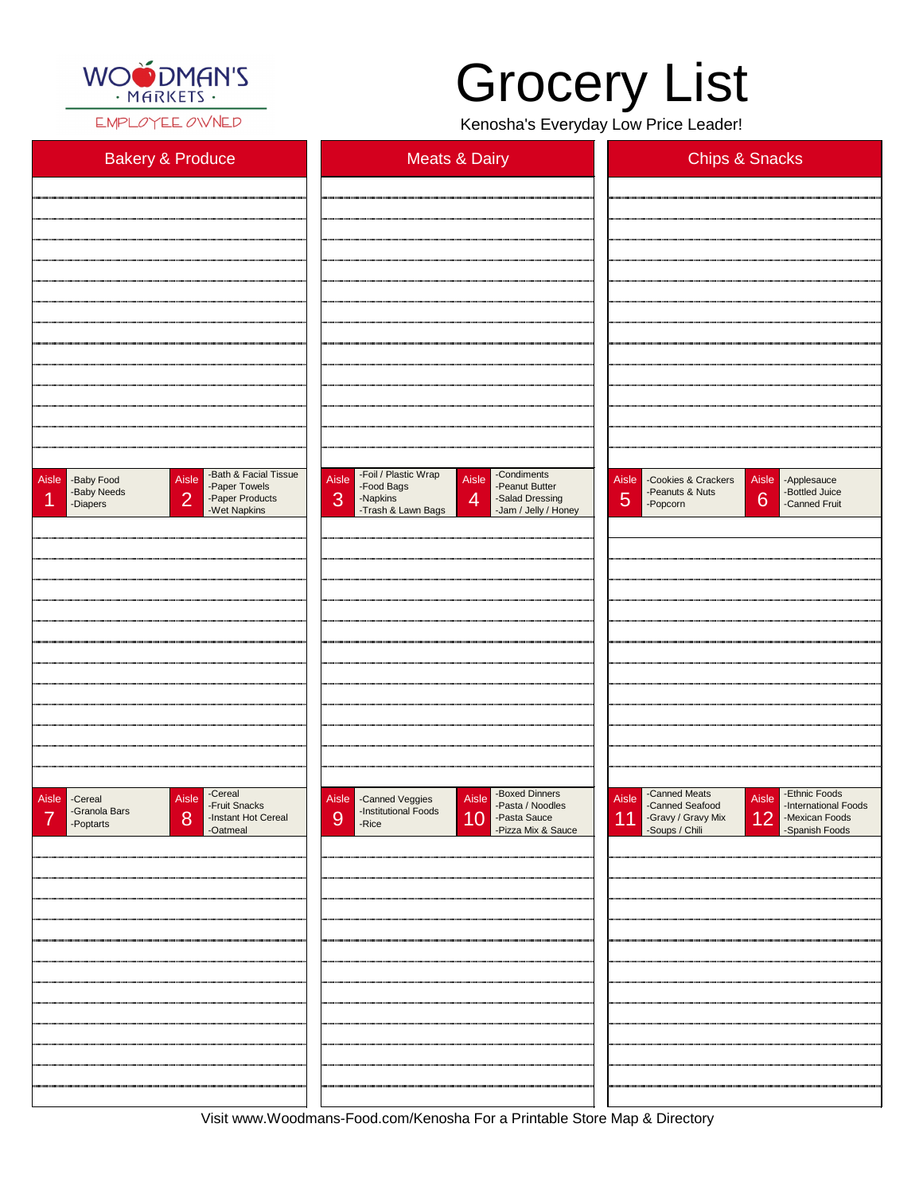

EMPLOYEE OWNED

Visit www.Woodmans-Food.com/Kenosha For a Printable Store Map & Directory

## Grocery List

Kenosha's Everyday Low Price Leader!

| <b>Bakery &amp; Produce</b>                                                                                                                      | <b>Meats &amp; Dairy</b>                                                                                                                                                                  | <b>Chips &amp; Snacks</b>                                                                                                             |
|--------------------------------------------------------------------------------------------------------------------------------------------------|-------------------------------------------------------------------------------------------------------------------------------------------------------------------------------------------|---------------------------------------------------------------------------------------------------------------------------------------|
|                                                                                                                                                  |                                                                                                                                                                                           |                                                                                                                                       |
|                                                                                                                                                  |                                                                                                                                                                                           |                                                                                                                                       |
|                                                                                                                                                  |                                                                                                                                                                                           |                                                                                                                                       |
|                                                                                                                                                  |                                                                                                                                                                                           |                                                                                                                                       |
|                                                                                                                                                  |                                                                                                                                                                                           |                                                                                                                                       |
|                                                                                                                                                  |                                                                                                                                                                                           |                                                                                                                                       |
|                                                                                                                                                  |                                                                                                                                                                                           |                                                                                                                                       |
|                                                                                                                                                  |                                                                                                                                                                                           |                                                                                                                                       |
|                                                                                                                                                  |                                                                                                                                                                                           |                                                                                                                                       |
|                                                                                                                                                  |                                                                                                                                                                                           |                                                                                                                                       |
| -Bath & Facial Tissue<br>Aisle<br><b>Aisle</b><br>-Baby Food<br>-Paper Towels<br>-Baby Needs<br>2<br>-Paper Products<br>-Diapers<br>-Wet Napkins | -Foil / Plastic Wrap<br>-Condiments<br>Aisle<br>Aisle<br>-Peanut Butter<br>-Food Bags<br>3<br>$\overline{4}$<br>-Napkins<br>-Salad Dressing<br>-Trash & Lawn Bags<br>-Jam / Jelly / Honey | <b>Aisle</b><br>Aisle - Applesauce<br>-Cookies & Crackers<br>-Peanuts & Nuts<br>-Bottled Juice<br>6<br>5<br>-Canned Fruit<br>-Popcorn |
|                                                                                                                                                  |                                                                                                                                                                                           |                                                                                                                                       |
|                                                                                                                                                  |                                                                                                                                                                                           |                                                                                                                                       |
|                                                                                                                                                  |                                                                                                                                                                                           |                                                                                                                                       |
|                                                                                                                                                  |                                                                                                                                                                                           |                                                                                                                                       |
|                                                                                                                                                  |                                                                                                                                                                                           |                                                                                                                                       |
|                                                                                                                                                  |                                                                                                                                                                                           |                                                                                                                                       |
|                                                                                                                                                  |                                                                                                                                                                                           |                                                                                                                                       |
|                                                                                                                                                  |                                                                                                                                                                                           |                                                                                                                                       |
|                                                                                                                                                  |                                                                                                                                                                                           |                                                                                                                                       |
| -Cereal                                                                                                                                          | -Boxed Dinners                                                                                                                                                                            | -Canned Meats<br>-Ethnic Foods                                                                                                        |
| Aisle<br>Aisle -Cereal<br>-Fruit Snacks<br>-Granola Bars                                                                                         | Aisle<br>Aisle - Canned Veggies<br>-Pasta / Noodles<br>-Institutional Foods                                                                                                               | Aisle<br>Aisle<br>-Canned Seafood<br>-International Foods                                                                             |

| -Granoia Bars<br>$\overline{\phantom{a}}$<br>-Instant Hot Cereal<br>8<br>-Poptarts<br>-Oatmeal | -msulutional Foods<br>9<br>10 - Pasta Sauce<br>- Pizza Mix & Sauce<br>-Rice | 12 <br>-Gravy / Gravy Mix<br>-Soups / Chili<br>-Mexican Foods<br>-Spanish Foods<br>11 |
|------------------------------------------------------------------------------------------------|-----------------------------------------------------------------------------|---------------------------------------------------------------------------------------|
|                                                                                                |                                                                             |                                                                                       |
|                                                                                                |                                                                             |                                                                                       |
|                                                                                                |                                                                             |                                                                                       |
|                                                                                                |                                                                             |                                                                                       |
|                                                                                                |                                                                             |                                                                                       |
|                                                                                                |                                                                             |                                                                                       |
|                                                                                                |                                                                             |                                                                                       |
|                                                                                                |                                                                             |                                                                                       |
|                                                                                                |                                                                             |                                                                                       |
|                                                                                                |                                                                             |                                                                                       |